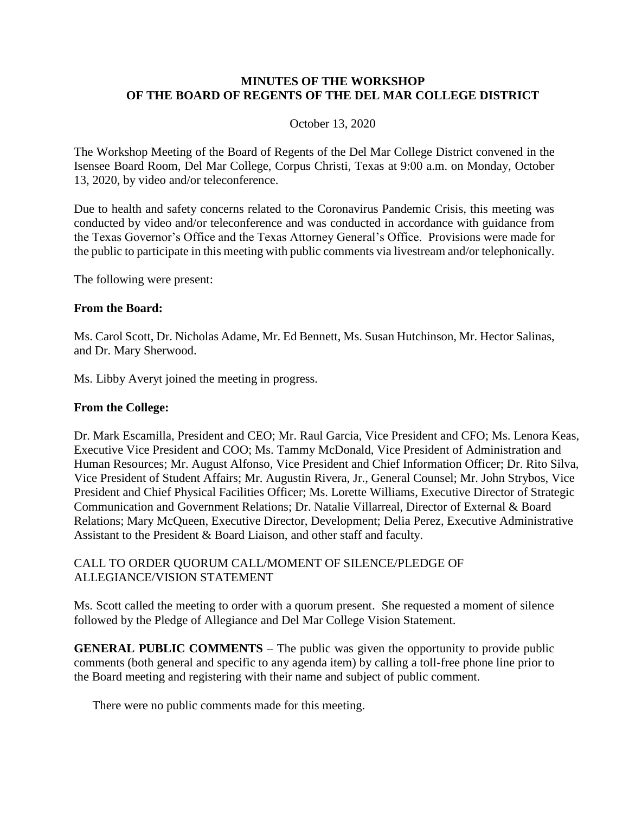## **MINUTES OF THE WORKSHOP OF THE BOARD OF REGENTS OF THE DEL MAR COLLEGE DISTRICT**

## October 13, 2020

The Workshop Meeting of the Board of Regents of the Del Mar College District convened in the Isensee Board Room, Del Mar College, Corpus Christi, Texas at 9:00 a.m. on Monday, October 13, 2020, by video and/or teleconference.

Due to health and safety concerns related to the Coronavirus Pandemic Crisis, this meeting was conducted by video and/or teleconference and was conducted in accordance with guidance from the Texas Governor's Office and the Texas Attorney General's Office. Provisions were made for the public to participate in this meeting with public comments via livestream and/or telephonically.

The following were present:

## **From the Board:**

Ms. Carol Scott, Dr. Nicholas Adame, Mr. Ed Bennett, Ms. Susan Hutchinson, Mr. Hector Salinas, and Dr. Mary Sherwood.

Ms. Libby Averyt joined the meeting in progress.

#### **From the College:**

Dr. Mark Escamilla, President and CEO; Mr. Raul Garcia, Vice President and CFO; Ms. Lenora Keas, Executive Vice President and COO; Ms. Tammy McDonald, Vice President of Administration and Human Resources; Mr. August Alfonso, Vice President and Chief Information Officer; Dr. Rito Silva, Vice President of Student Affairs; Mr. Augustin Rivera, Jr., General Counsel; Mr. John Strybos, Vice President and Chief Physical Facilities Officer; Ms. Lorette Williams, Executive Director of Strategic Communication and Government Relations; Dr. Natalie Villarreal, Director of External & Board Relations; Mary McQueen, Executive Director, Development; Delia Perez, Executive Administrative Assistant to the President & Board Liaison, and other staff and faculty.

# CALL TO ORDER QUORUM CALL/MOMENT OF SILENCE/PLEDGE OF ALLEGIANCE/VISION STATEMENT

Ms. Scott called the meeting to order with a quorum present. She requested a moment of silence followed by the Pledge of Allegiance and Del Mar College Vision Statement.

**GENERAL PUBLIC COMMENTS** – The public was given the opportunity to provide public comments (both general and specific to any agenda item) by calling a toll-free phone line prior to the Board meeting and registering with their name and subject of public comment.

There were no public comments made for this meeting.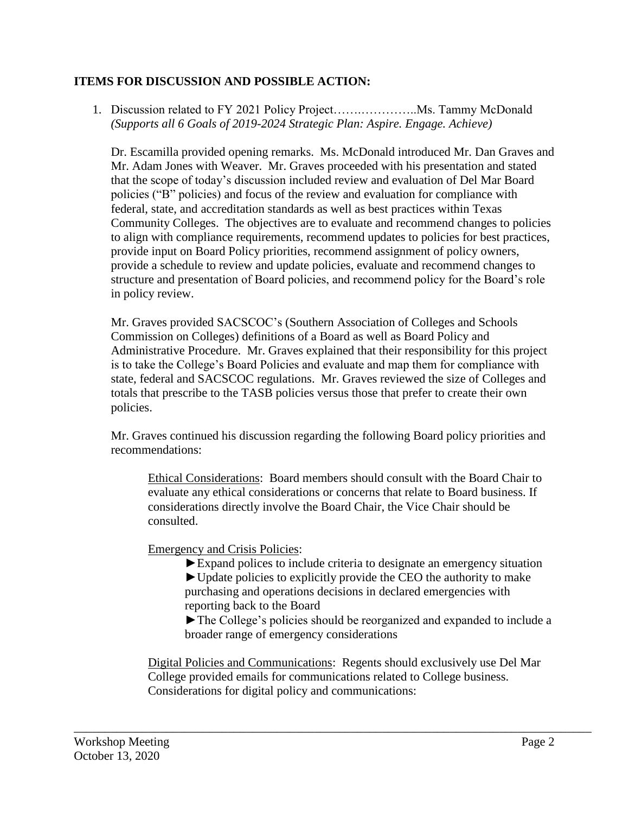# **ITEMS FOR DISCUSSION AND POSSIBLE ACTION:**

1. Discussion related to FY 2021 Policy Project…….…………..Ms. Tammy McDonald *(Supports all 6 Goals of 2019-2024 Strategic Plan: Aspire. Engage. Achieve)*

Dr. Escamilla provided opening remarks. Ms. McDonald introduced Mr. Dan Graves and Mr. Adam Jones with Weaver. Mr. Graves proceeded with his presentation and stated that the scope of today's discussion included review and evaluation of Del Mar Board policies ("B" policies) and focus of the review and evaluation for compliance with federal, state, and accreditation standards as well as best practices within Texas Community Colleges. The objectives are to evaluate and recommend changes to policies to align with compliance requirements, recommend updates to policies for best practices, provide input on Board Policy priorities, recommend assignment of policy owners, provide a schedule to review and update policies, evaluate and recommend changes to structure and presentation of Board policies, and recommend policy for the Board's role in policy review.

Mr. Graves provided SACSCOC's (Southern Association of Colleges and Schools Commission on Colleges) definitions of a Board as well as Board Policy and Administrative Procedure. Mr. Graves explained that their responsibility for this project is to take the College's Board Policies and evaluate and map them for compliance with state, federal and SACSCOC regulations. Mr. Graves reviewed the size of Colleges and totals that prescribe to the TASB policies versus those that prefer to create their own policies.

Mr. Graves continued his discussion regarding the following Board policy priorities and recommendations:

Ethical Considerations: Board members should consult with the Board Chair to evaluate any ethical considerations or concerns that relate to Board business. If considerations directly involve the Board Chair, the Vice Chair should be consulted.

Emergency and Crisis Policies:

►Expand polices to include criteria to designate an emergency situation  $\blacktriangleright$  Update policies to explicitly provide the CEO the authority to make purchasing and operations decisions in declared emergencies with reporting back to the Board

►The College's policies should be reorganized and expanded to include a broader range of emergency considerations

Digital Policies and Communications: Regents should exclusively use Del Mar College provided emails for communications related to College business. Considerations for digital policy and communications:

\_\_\_\_\_\_\_\_\_\_\_\_\_\_\_\_\_\_\_\_\_\_\_\_\_\_\_\_\_\_\_\_\_\_\_\_\_\_\_\_\_\_\_\_\_\_\_\_\_\_\_\_\_\_\_\_\_\_\_\_\_\_\_\_\_\_\_\_\_\_\_\_\_\_\_\_\_\_\_\_\_\_\_\_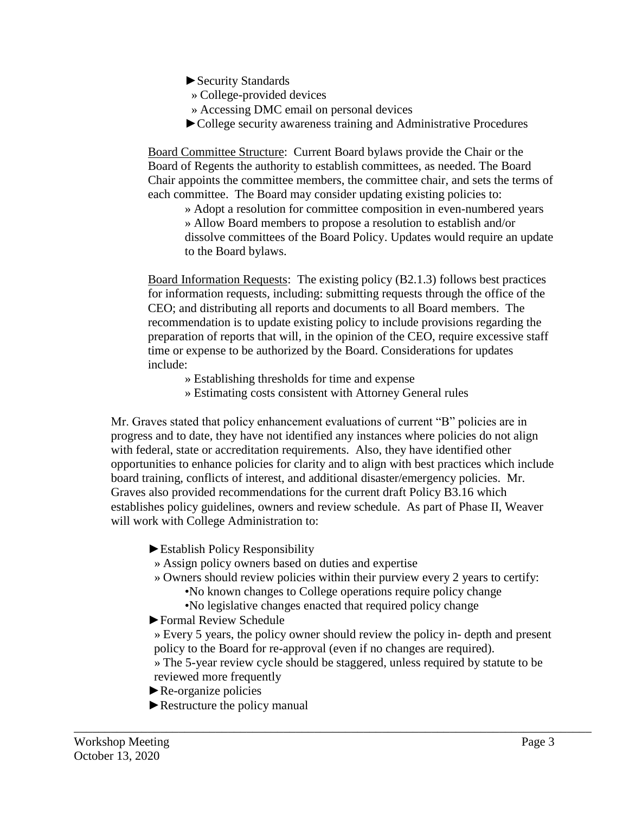- ►Security Standards
- » College-provided devices
- » Accessing DMC email on personal devices
- ►College security awareness training and Administrative Procedures

Board Committee Structure: Current Board bylaws provide the Chair or the Board of Regents the authority to establish committees, as needed. The Board Chair appoints the committee members, the committee chair, and sets the terms of each committee. The Board may consider updating existing policies to:

» Adopt a resolution for committee composition in even-numbered years » Allow Board members to propose a resolution to establish and/or dissolve committees of the Board Policy. Updates would require an update to the Board bylaws.

Board Information Requests: The existing policy (B2.1.3) follows best practices for information requests, including: submitting requests through the office of the CEO; and distributing all reports and documents to all Board members. The recommendation is to update existing policy to include provisions regarding the preparation of reports that will, in the opinion of the CEO, require excessive staff time or expense to be authorized by the Board. Considerations for updates include:

- » Establishing thresholds for time and expense
- » Estimating costs consistent with Attorney General rules

Mr. Graves stated that policy enhancement evaluations of current "B" policies are in progress and to date, they have not identified any instances where policies do not align with federal, state or accreditation requirements. Also, they have identified other opportunities to enhance policies for clarity and to align with best practices which include board training, conflicts of interest, and additional disaster/emergency policies. Mr. Graves also provided recommendations for the current draft Policy B3.16 which establishes policy guidelines, owners and review schedule. As part of Phase II, Weaver will work with College Administration to:

- ►Establish Policy Responsibility
- » Assign policy owners based on duties and expertise
- » Owners should review policies within their purview every 2 years to certify:
	- •No known changes to College operations require policy change
	- •No legislative changes enacted that required policy change

\_\_\_\_\_\_\_\_\_\_\_\_\_\_\_\_\_\_\_\_\_\_\_\_\_\_\_\_\_\_\_\_\_\_\_\_\_\_\_\_\_\_\_\_\_\_\_\_\_\_\_\_\_\_\_\_\_\_\_\_\_\_\_\_\_\_\_\_\_\_\_\_\_\_\_\_\_\_\_\_\_\_\_\_

- ►Formal Review Schedule
- » Every 5 years, the policy owner should review the policy in- depth and present policy to the Board for re-approval (even if no changes are required).
- » The 5-year review cycle should be staggered, unless required by statute to be reviewed more frequently
- ►Re-organize policies
- ►Restructure the policy manual